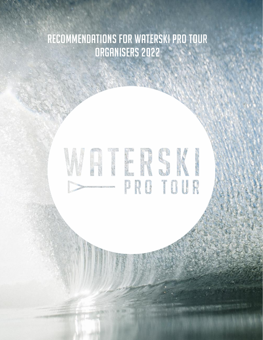# Recommendations for Waterski Pro Tour Organisers 2022

# VATERSKI PRO TOUR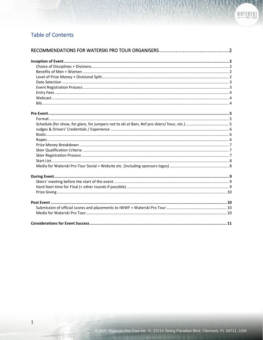## **Table of Contents**

 $\,1\,$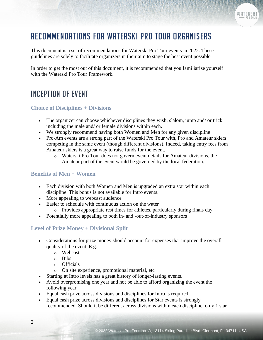# <span id="page-2-0"></span>Recommendations for Waterski Pro Tour Organisers

This document is a set of recommendations for Waterski Pro Tour events in 2022. These guidelines are solely to facilitate organizers in their aim to stage the best event possible.

In order to get the most out of this document, it is recommended that you familiarize yourself with the Waterski Pro Tour Framework.

# <span id="page-2-1"></span>Inception of Event

#### <span id="page-2-2"></span>**Choice of Disciplines + Divisions**

- The organizer can choose whichever disciplines they wish: slalom, jump and/ or trick including the male and/ or female divisions within each.
- We strongly recommend having both Women and Men for any given discipline
- Pro-Am events are a strong part of the Waterski Pro Tour with, Pro and Amateur skiers competing in the same event (though different divisions). Indeed, taking entry fees from Amateur skiers is a great way to raise funds for the event.
	- o Waterski Pro Tour does not govern event details for Amateur divisions, the Amateur part of the event would be governed by the local federation.

#### <span id="page-2-3"></span>**Benefits of Men + Women**

- Each division with both Women and Men is upgraded an extra star within each discipline. This bonus is not available for Intro events.
- More appealing to webcast audience
- Easier to schedule with continuous action on the water
	- o Provides appropriate rest times for athletes, particularly during finals day
- Potentially more appealing to both in- and -out-of-industry sponsors

#### <span id="page-2-4"></span>**Level of Prize Money + Divisional Split**

- Considerations for prize money should account for expenses that improve the overall quality of the event. E.g.:
	- o Webcast
	- o Bibs
	- o Officials
	- o On site experience, promotional material, etc
- Starting at Intro levels has a great history of longer-lasting events.
- Avoid overpromising one year and not be able to afford organizing the event the following year
- Equal cash prize across divisions and disciplines for Intro is required.
- Equal cash prize across divisions and disciplines for Star events is strongly recommended. Should it be different across divisions within each discipline, only 1 star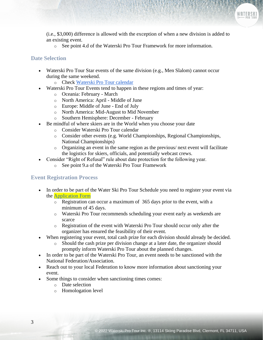(i.e., \$3,000) difference is allowed with the exception of when a new division is added to an existing event.

o See point 4.d of the Waterski Pro Tour Framework for more information.

#### <span id="page-3-0"></span>**Date Selection**

- Waterski Pro Tour Star events of the same division (e.g., Men Slalom) cannot occur during the same weekend.
	- o Check [Waterski Pro Tour calendar](https://www.waterskiprotour.com/current-season)
- Waterski Pro Tour Events tend to happen in these regions and times of year:
	- o Oceania: February March
	- o North America: April Middle of June
	- o Europe: Middle of June End of July
	- o North America: Mid-August to Mid November
	- o Southern Hemisphere: December February
- Be mindful of where skiers are in the World when you choose your date
	- o Consider Waterski Pro Tour calendar
	- $\circ$  Consider other events (e.g. World Championships, Regional Championships, National Championships)
	- o Organizing an event in the same region as the previous/ next event will facilitate the logistics for skiers, officials, and potentially webcast crews.
- Consider "Right of Refusal" rule about date protection for the following year.
	- o See point 9.a of the Waterski Pro Tour Framework

#### <span id="page-3-1"></span>**Event Registration Process**

- In order to be part of the Water Ski Pro Tour Schedule you need to register your event via the [Application Form](https://www.waterskiprotour.com/application-form)
	- o Registration can occur a maximum of 365 days prior to the event, with a minimum of 45 days.
	- o Waterski Pro Tour recommends scheduling your event early as weekends are scarce
	- o Registration of the event with Waterski Pro Tour should occur only after the organizer has ensured the feasibility of their event.
- When registering your event, total cash prize for each division should already be decided.
	- o Should the cash prize per division change at a later date, the organizer should promptly inform Waterski Pro Tour about the planned changes.
- In order to be part of the Waterski Pro Tour, an event needs to be sanctioned with the National Federation/Association.
- Reach out to your local Federation to know more information about sanctioning your event.
- Some things to consider when sanctioning times comes:
	- o Date selection
	- o Homologation level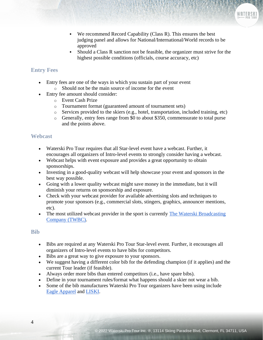- We recommend Record Capability (Class R). This ensures the best judging panel and allows for National/International/World records to be approved
- Should a Class R sanction not be feasible, the organizer must strive for the highest possible conditions (officials, course accuracy, etc)

#### <span id="page-4-0"></span>**Entry Fees**

- Entry fees are one of the ways in which you sustain part of your event
	- o Should not be the main source of income for the event
- Entry fee amount should consider:
	- o Event Cash Prize
	- o Tournament format (guaranteed amount of tournament sets)
	- o Services provided to the skiers (e.g., hotel, transportation, included training, etc)
	- o Generally, entry fees range from \$0 to about \$350, commensurate to total purse and the points above.

#### <span id="page-4-1"></span>**Webcast**

- Waterski Pro Tour requires that all Star-level event have a webcast. Further, it encourages all organizers of Intro-level events to strongly consider having a webcast.
- Webcast helps with event exposure and provides a great opportunity to obtain sponsorships.
- Investing in a good-quality webcast will help showcase your event and sponsors in the best way possible.
- Going with a lower quality webcast might save money in the immediate, but it will diminish your returns on sponsorship and exposure.
- Check with your webcast provider for available advertising slots and techniques to promote your sponsors (e.g., commercial slots, stingers, graphics, announcer mentions, etc).
- The most utilized webcast provider in the sport is currently The Waterski Broadcasting [Company \(TWBC\).](https://www.waterskibroadcasting.com/)

#### <span id="page-4-2"></span>**Bib**

- Bibs are required at any Waterski Pro Tour Star-level event. Further, it encourages all organizers of Intro-level events to have bibs for competitors.
- Bibs are a great way to give exposure to your sponsors.
- We suggest having a different color bib for the defending champion (if it applies) and the current Tour leader (if feasible).
- Always order more bibs than entered competitors (i.e., have spare bibs).
- Define in your tournament rules/format what happens should a skier not wear a bib.
- Some of the bib manufactures Waterski Pro Tour organizers have been using include [Eagle Apparel](https://www.masterlineusa.com/collections/eagle-apparel) and [LISKI.](https://www.liski.it/)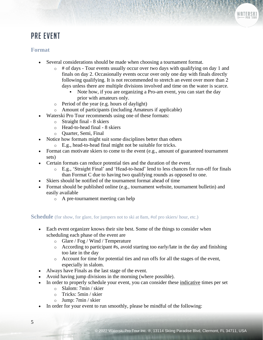# <span id="page-5-0"></span>Pre Event

#### <span id="page-5-1"></span>**Format**

- Several considerations should be made when choosing a tournament format.
	- $\circ$  # of days Tour events usually occur over two days with qualifying on day 1 and finals on day 2. Occasionally events occur over only one day with finals directly following qualifying. It is not recommended to stretch an event over more than 2 days unless there are multiple divisions involved and time on the water is scarce.
		- Note how, if you are organizing a Pro-am event, you can start the day prior with amateurs only.
	- o Period of the year (e.g. hours of daylight)
	- o Amount of participants (including Amateurs if applicable)
- Waterski Pro Tour recommends using one of these formats:
	- $\circ$  Straight final 8 skiers
	- o Head-to-head final 8 skiers
	- o Quarter, Semi, Final
- Notice how formats might suit some disciplines better than others
	- o E.g., head-to-head final might not be suitable for tricks.
- Format can motivate skiers to come to the event (e.g., amount of guaranteed tournament sets)
- Certain formats can reduce potential ties and the duration of the event.
	- o E.g., 'Straight Final' and 'Head-to-head' lend to less chances for run-off for finals than Format C due to having two qualifying rounds as opposed to one.
- Skiers should be notified of the tournament format ahead of time
- Format should be published online (e.g., tournament website, tournament bulletin) and easily available
	- o A pre-tournament meeting can help

#### <span id="page-5-2"></span>**Schedule** (for show, for glare, for jumpers not to ski at 8am, #of pro skiers/ hour, etc.)

- Each event organizer knows their site best. Some of the things to consider when scheduling each phase of the event are
	- o Glare / Fog / Wind / Temperature
	- o According to participant #s, avoid starting too early/late in the day and finishing too late in the day
	- o Account for time for potential ties and run offs for all the stages of the event, especially in slalom.
- Always have Finals as the last stage of the event.
- Avoid having jump divisions in the morning (where possible).
- In order to properly schedule your event, you can consider these indicative times per set
	- o Slalom: 7min / skier
	- o Tricks: 5min / skier
	- o Jump: 7min / skier
- In order for your event to run smoothly, please be mindful of the following: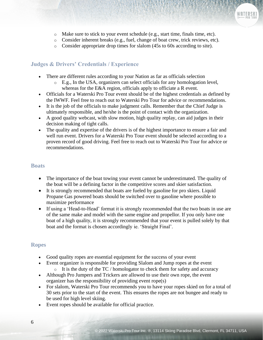- o Make sure to stick to your event schedule (e.g., start time, finals time, etc).
- o Consider inherent breaks (e.g., fuel, change of boat crew, trick reviews, etc).
- o Consider appropriate drop times for slalom (45s to 60s according to site).

#### <span id="page-6-0"></span>**Judges & Drivers' Credentials / Experience**

- There are different rules according to your Nation as far as officials selection
	- o E.g., In the USA, organizers can select officials for any homologation level, whereas for the E&A region, officials apply to officiate a R event.
- Officials for a Waterski Pro Tour event should be of the highest credentials as defined by the IWWF. Feel free to reach out to Waterski Pro Tour for advice or recommendations.
- It is the job of the officials to make judgment calls. Remember that the Chief Judge is ultimately responsible, and he/she is the point of contact with the organization.
- A good quality webcast, with slow motion, high quality replay, can aid judges in their decision making of tight calls.
- The quality and expertise of the drivers is of the highest importance to ensure a fair and well run event. Drivers for a Waterski Pro Tour event should be selected according to a proven record of good driving. Feel free to reach out to Waterski Pro Tour for advice or recommendations.

#### <span id="page-6-1"></span>**Boats**

- The importance of the boat towing your event cannot be underestimated. The quality of the boat will be a defining factor in the competitive scores and skier satisfaction.
- It is strongly recommended that boats are fueled by gasoline for pro skiers. Liquid Propane Gas powered boats should be switched over to gasoline where possible to maximize performance
- If using a 'Head-to-Head' format it is strongly recommended that the two boats in use are of the same make and model with the same engine and propellor. If you only have one boat of a high quality, it is strongly recommended that your event is pulled solely by that boat and the format is chosen accordingly ie. 'Straight Final'.

#### <span id="page-6-2"></span>**Ropes**

- Good quality ropes are essential equipment for the success of your event
- Event organizer is responsible for providing Slalom and Jump ropes at the event o It is the duty of the TC / homologator to check them for safety and accuracy
- Although Pro Jumpers and Trickers are allowed to use their own rope, the event organizer has the responsibility of providing event rope(s)
- For slalom, Waterski Pro Tour recommends you to have your ropes skied on for a total of 30 sets prior to the start of the event. This ensures the ropes are not bungee and ready to be used for high level skiing.
- Event ropes should be available for official practice.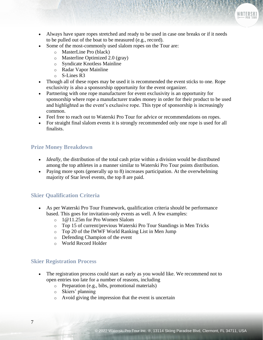WATERSK

- Always have spare ropes stretched and ready to be used in case one breaks or if it needs to be pulled out of the boat to be measured (e.g., record).
- Some of the most-commonly used slalom ropes on the Tour are:
	- o MasterLine Pro (black)
	- o Masterline Optimized 2.0 (gray)
	- o Syndicate Knotless Mainline
	- o Radar Vapor Mainline
	- o S-Lines R3
- Though all of these ropes may be used it is recommended the event sticks to one. Rope exclusivity is also a sponsorship opportunity for the event organizer.
- Partnering with one rope manufacturer for event exclusivity is an opportunity for sponsorship where rope a manufacturer trades money in order for their product to be used and highlighted as the event's exclusive rope. This type of sponsorship is increasingly common.
- Feel free to reach out to Waterski Pro Tour for advice or recommendations on ropes.
- For straight final slalom events it is strongly recommended only one rope is used for all finalists.

#### <span id="page-7-0"></span>**Prize Money Breakdown**

- *Ideally*, the distribution of the total cash prize within a division would be distributed among the top athletes in a manner similar to Waterski Pro Tour points distribution.
- Paying more spots (generally up to 8) increases participation. At the overwhelming majority of Star level events, the top 8 are paid.

#### <span id="page-7-1"></span>**Skier Qualification Criteria**

- As per Waterski Pro Tour Framework, qualification criteria should be performance based. This goes for invitation-only events as well. A few examples:
	- o 1@11.25m for Pro Women Slalom
	- o Top 15 of current/previous Waterski Pro Tour Standings in Men Tricks
	- o Top 20 of the IWWF World Ranking List in Men Jump
	- o Defending Champion of the event
	- o World Record Holder

#### <span id="page-7-2"></span>**Skier Registration Process**

- The registration process could start as early as you would like. We recommend not to open entries too late for a number of reasons, including
	- o Preparation (e.g., bibs, promotional materials)
	- o Skiers' planning
	- o Avoid giving the impression that the event is uncertain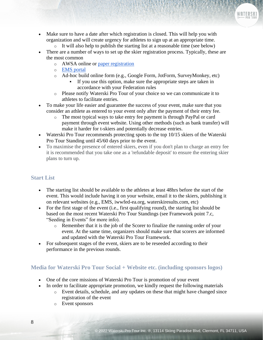- Make sure to have a date after which registration is closed. This will help you with organization and will create urgency for athletes to sign up at an appropriate time.
	- o It will also help to publish the starting list at a reasonable time (see below)
- There are a number of ways to set up the skier registration process. Typically, these are the most common
	- o AWSA online or [paper registration](https://www.usawaterski.org/rankings/forms/AWSA_Fillable_Tournament_Entry_Form_with_Waivers_rev20210614.pdf?)
	- o [EMS portal](https://ems.iwwf.sport/)
	- o Ad-hoc build online form (e.g., Google Form, JotForm, SurveyMonkey, etc)
		- If you use this option, make sure the appropriate steps are taken in accordance with your Federation rules
	- o Please notify Waterski Pro Tour of your choice so we can communicate it to athletes to facilitate entries.
- To make your life easier and guarantee the success of your event, make sure that you consider an athlete as entered to your event only after the payment of their entry fee.
	- o The most typical ways to take entry fee payment is through PayPal or card payment through event website. Using other methods (such as bank transfer) will make it harder for t-skiers and potentially decrease entries.
- Waterski Pro Tour recommends protecting spots to the top 10/15 skiers of the Waterski Pro Tour Standing until 45/60 days prior to the event.
- To maximise the presence of entered skiers, even if you don't plan to charge an entry fee it is recommended that you take one as a 'refundable deposit' to ensure the entering skier plans to turn up.

#### <span id="page-8-0"></span>**Start List**

- The starting list should be available to the athletes at least 48hrs before the start of the event. This would include having it on your website, email it to the skiers, publishing it on relevant websites (e.g., EMS, iwwfed-ea.org, waterskiresults.com, etc)
- For the first stage of the event (i.e., first qualifying round), the starting list should be based on the most recent Waterski Pro Tour Standings (see Framework point 7.c, "Seeding in Events" for more info).
	- o Remember that it is the job of the Scorer to finalize the running order of your event. At the same time, organizers should make sure that scorers are informed and updated with the Waterski Pro Tour Framework.
- For subsequent stages of the event, skiers are to be reseeded according to their performance in the previous rounds.

#### <span id="page-8-1"></span>**Media for Waterski Pro Tour Social + Website etc. (including sponsors logos)**

- One of the core missions of Waterski Pro Tour is promotion of your event
- In order to facilitate appropriate promotion, we kindly request the following materials
	- o Event details, schedule, and any updates on these that might have changed since registration of the event
	- o Event sponsors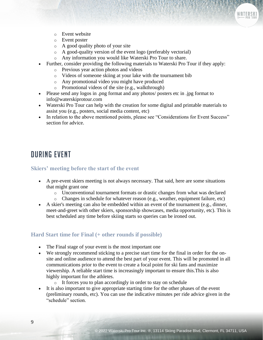

- o Event website
- o Event poster
- o A good quality photo of your site
- o A good-quality version of the event logo (preferably vectorial)
- o Any information you would like Waterski Pro Tour to share.
- Further, consider providing the following materials to Waterski Pro Tour if they apply:
	- o Previous year action photos and videos
	- o Videos of someone skiing at your lake with the tournament bib
	- o Any promotional video you might have produced
	- o Promotional videos of the site (e.g., walkthrough)
- Please send any logos in .png format and any photos/ posters etc in .jpg format to info@waterskiprotour.com
- Waterski Pro Tour can help with the creation for some digital and printable materials to assist you (e.g., posters, social media content, etc)
- In relation to the above mentioned points, please see "Considerations for Event Success" section for advice.

### <span id="page-9-0"></span>During Event

#### <span id="page-9-1"></span>**Skiers' meeting before the start of the event**

- A pre-event skiers meeting is not always necessary. That said, here are some situations that might grant one
	- o Unconventional tournament formats or drastic changes from what was declared
	- o Changes in schedule for whatever reason (e.g., weather, equipment failure, etc)
- A skier's meeting can also be embedded within an event of the tournament (e.g., dinner, meet-and-greet with other skiers, sponsorship showcases, media opportunity, etc). This is best scheduled any time before skiing starts so queries can be ironed out.

#### <span id="page-9-2"></span>**Hard Start time for Final (+ other rounds if possible)**

- The Final stage of your event is the most important one
- We strongly recommend sticking to a precise start time for the final in order for the onsite and online audience to attend the best part of your event. This will be promoted in all communications prior to the event to create a focal point for ski fans and maximize viewership. A reliable start time is increasingly important to ensure this.This is also highly important for the athletes.
	- o It forces you to plan accordingly in order to stay on schedule
- It is also important to give appropriate starting time for the other phases of the event (preliminary rounds, etc). You can use the indicative minutes per ride advice given in the "schedule" section.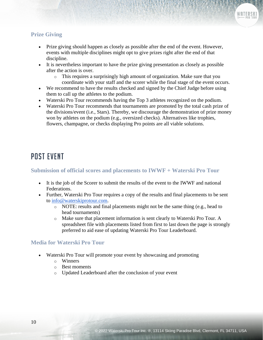#### <span id="page-10-0"></span>**Prize Giving**

- Prize giving should happen as closely as possible after the end of the event. However, events with multiple disciplines might opt to give prizes right after the end of that discipline.
- It is nevertheless important to have the prize giving presentation as closely as possible after the action is over.
	- o This requires a surprisingly high amount of organization. Make sure that you coordinate with your staff and the scorer while the final stage of the event occurs.
- We recommend to have the results checked and signed by the Chief Judge before using them to call up the athletes to the podium.
- Waterski Pro Tour recommends having the Top 3 athletes recognized on the podium.
- Waterski Pro Tour recommends that tournaments are promoted by the total cash prize of the divisions/event (i.e., Stars). Thereby, we discourage the demonstration of prize money won by athletes on the podium (e.g., oversized checks). Alternatives like trophies, flowers, champagne, or checks displaying Pro points are all viable solutions.

## <span id="page-10-1"></span>Post Event

#### <span id="page-10-2"></span>**Submission of official scores and placements to IWWF + Waterski Pro Tour**

- It is the job of the Scorer to submit the results of the event to the IWWF and national Federations.
- Further, Waterski Pro Tour requires a copy of the results and final placements to be sent to [info@waterskiprotour.com.](mailto:info@waterskiprotour.com)
	- o NOTE: results and final placements might not be the same thing (e.g., head to head tournaments)
	- o Make sure that placement information is sent clearly to Waterski Pro Tour. A spreadsheet file with placements listed from first to last down the page is strongly preferred to aid ease of updating Waterski Pro Tour Leaderboard.

#### <span id="page-10-3"></span>**Media for Waterski Pro Tour**

- Waterski Pro Tour will promote your event by showcasing and promoting
	- o Winners
	- o Best moments
	- o Updated Leaderboard after the conclusion of your event